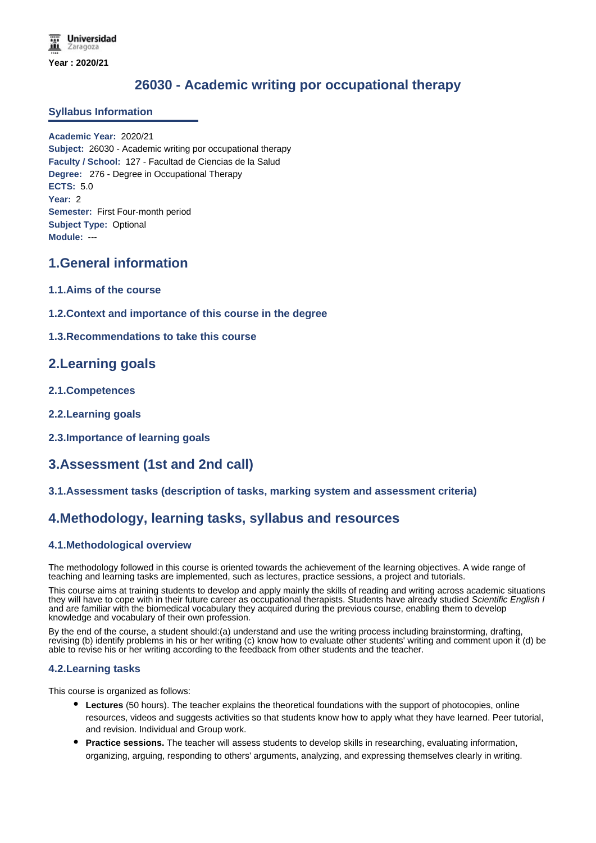# **26030 - Academic writing por occupational therapy**

### **Syllabus Information**

**Academic Year:** 2020/21 **Subject:** 26030 - Academic writing por occupational therapy **Faculty / School:** 127 - Facultad de Ciencias de la Salud **Degree:** 276 - Degree in Occupational Therapy **ECTS:** 5.0 **Year:** 2 **Semester:** First Four-month period **Subject Type:** Optional **Module:** ---

## **1.General information**

- **1.1.Aims of the course**
- **1.2.Context and importance of this course in the degree**

### **1.3.Recommendations to take this course**

## **2.Learning goals**

- **2.1.Competences**
- **2.2.Learning goals**
- **2.3.Importance of learning goals**

# **3.Assessment (1st and 2nd call)**

### **3.1.Assessment tasks (description of tasks, marking system and assessment criteria)**

## **4.Methodology, learning tasks, syllabus and resources**

### **4.1.Methodological overview**

The methodology followed in this course is oriented towards the achievement of the learning objectives. A wide range of teaching and learning tasks are implemented, such as lectures, practice sessions, a project and tutorials.

This course aims at training students to develop and apply mainly the skills of reading and writing across academic situations they will have to cope with in their future career as occupational therapists. Students have already studied *Scientific English I* and are familiar with the biomedical vocabulary they acquired during the previous course, enabling them to develop knowledge and vocabulary of their own profession.

By the end of the course, a student should:(a) understand and use the writing process including brainstorming, drafting, revising (b) identify problems in his or her writing (c) know how to evaluate other students' writing and comment upon it (d) be able to revise his or her writing according to the feedback from other students and the teacher.

#### **4.2.Learning tasks**

This course is organized as follows:

- **Lectures** (50 hours). The teacher explains the theoretical foundations with the support of photocopies, online resources, videos and suggests activities so that students know how to apply what they have learned. Peer tutorial, and revision. Individual and Group work.
- **Practice sessions.** The teacher will assess students to develop skills in researching, evaluating information, organizing, arguing, responding to others' arguments, analyzing, and expressing themselves clearly in writing.